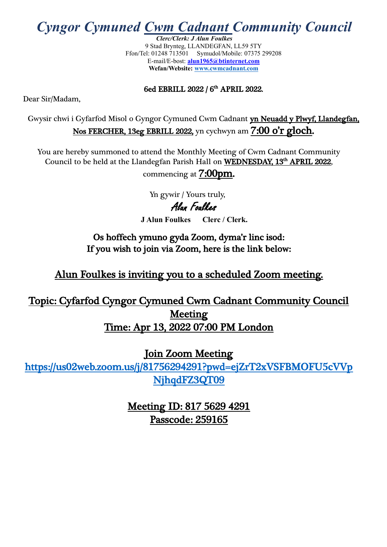*Cyngor Cymuned Cwm Cadnant Community Council*

*Clerc/Clerk: J Alun Foulkes* 9 Stad Brynteg, LLANDEGFAN, LL59 5TY Ffon/Tel: 01248 713501 Symudol/Mobile: 07375 299208 E-mail/E-bost: **[alun1965@btinternet.com](mailto:Foulkes@llandegfan9.fsnet.co.uk) Wefan/Website: [www.cwmcadnant.com](http://www.cwmcadnant.com/)**

#### 6ed EBRILL 2022 / 6<sup>th</sup> APRIL 2022.

Dear Sir/Madam,

Gwysir chwi i Gyfarfod Misol o Gyngor Cymuned Cwm Cadnant yn Neuadd y Plwyf, Llandegfan, Nos FERCHER, 13eg EBRILL 2022, yn cychwyn am 7:00 o'r gloch.

You are hereby summoned to attend the Monthly Meeting of Cwm Cadnant Community Council to be held at the Llandegfan Parish Hall on WEDNESDAY, 13<sup>th</sup> APRIL 2022,

commencing at 7:00pm.

 Yn gywir / Yours truly, Alun Foulkes **J Alun Foulkes Clerc / Clerk.**

Os hoffech ymuno gyda Zoom, dyma'r linc isod: If you wish to join via Zoom, here is the link below:

Alun Foulkes is inviting you to a scheduled Zoom meeting.

Topic: Cyfarfod Cyngor Cymuned Cwm Cadnant Community Council **Meeting** Time: Apr 13, 2022 07:00 PM London

Join Zoom Meeting

[https://us02web.zoom.us/j/81756294291?pwd=ejZrT2xVSFBMOFU5cVVp](https://us02web.zoom.us/j/81756294291?pwd=ejZrT2xVSFBMOFU5cVVpNjhqdFZ3QT09) [NjhqdFZ3QT09](https://us02web.zoom.us/j/81756294291?pwd=ejZrT2xVSFBMOFU5cVVpNjhqdFZ3QT09) 

> Meeting ID: 817 5629 4291 Passcode: 259165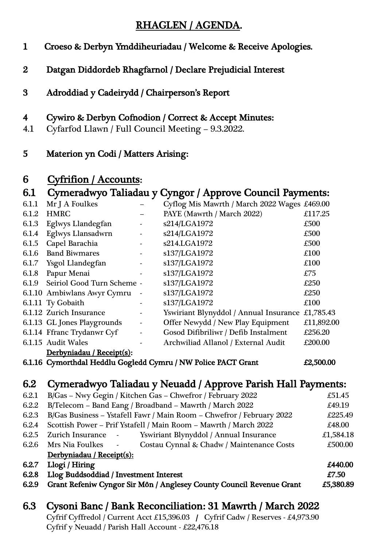#### RHAGLEN / AGENDA.

- 1 Croeso & Derbyn Ymddiheuriadau / Welcome & Receive Apologies.
- 2 Datgan Diddordeb Rhagfarnol / Declare Prejudicial Interest
- 3 Adroddiad y Cadeirydd / Chairperson's Report

#### 4 Cywiro & Derbyn Cofnodion / Correct & Accept Minutes:

- 4.1 Cyfarfod Llawn / Full Council Meeting 9.3.2022.
- 5 Materion yn Codi / Matters Arising:

#### 6 Cyfrifion / Accounts:

### 6.1 Cymeradwyo Taliadau y Cyngor / Approve Council Payments:

| 6.1.1 | Mr J A Foulkes              |                          | Cyflog Mis Mawrth / March 2022 Wages £469.00 |            |
|-------|-----------------------------|--------------------------|----------------------------------------------|------------|
| 6.1.2 | <b>HMRC</b>                 |                          | PAYE (Mawrth / March 2022)                   | £117.25    |
| 6.1.3 | Eglwys Llandegfan           |                          | s214/LGA1972                                 | £500       |
| 6.1.4 | Eglwys Llansadwrn           | $\overline{\phantom{0}}$ | s214/LGA1972                                 | £500       |
| 6.1.5 | Capel Barachia              |                          | s214.LGA1972                                 | £500       |
| 6.1.6 | <b>Band Biwmares</b>        |                          | s137/LGA1972                                 | £100       |
|       | 6.1.7 Ysgol Llandegfan      |                          | s137/LGA1972                                 | £100       |
| 6.1.8 | Papur Menai                 |                          | s137/LGA1972                                 | £75        |
| 6.1.9 | Seiriol Good Turn Scheme -  |                          | s137/LGA1972                                 | £250       |
|       | 6.1.10 Ambiwlans Awyr Cymru | $\overline{\phantom{a}}$ | s137/LGA1972                                 | £250       |
|       | 6.1.11 Ty Gobaith           |                          | s137/LGA1972                                 | £100       |
|       | 6.1.12 Zurich Insurance     |                          | Yswiriant Blynyddol / Annual Insurance       | £1,785.43  |
|       | 6.1.13 GL Jones Playgrounds |                          | Offer Newydd / New Play Equipment            | £11,892.00 |
|       | 6.1.14 Ffranc Trydanwr Cyf  | $\overline{\phantom{a}}$ | Gosod Difibriliwr / Defib Instalment         | £256.20    |
|       | 6.1.15 Audit Wales          |                          | Archwiliad Allanol / External Audit          | £200.00    |
|       | Derbyniadau / Receipt(s):   |                          |                                              |            |
|       |                             |                          |                                              |            |

6.1.16 Cymorthdal Heddlu Gogledd Cymru / NW Police PACT Grant £2,500.00

### 6.2 Cymeradwyo Taliadau y Neuadd / Approve Parish Hall Payments:

| B/Gas - Nwy Gegin / Kitchen Gas - Chwefror / February 2022                               | £51.45    |  |  |
|------------------------------------------------------------------------------------------|-----------|--|--|
| B/Telecom - Band Eang / Broadband - Mawrth / March 2022<br>£49.19<br>6.2.2               |           |  |  |
| B/Gas Business - Ystafell Fawr / Main Room - Chwefror / February 2022<br>6.2.3           |           |  |  |
| Scottish Power - Prif Ystafell / Main Room - Mawrth / March 2022                         | £48.00    |  |  |
| Yswiriant Blynyddol / Annual Insurance<br>Zurich Insurance -                             | £1,584.18 |  |  |
| Costau Cynnal & Chadw / Maintenance Costs<br>Mrs Nia Foulkes<br>$\overline{\phantom{a}}$ | £500.00   |  |  |
| Derbyniadau / Receipt(s):                                                                |           |  |  |
| Llogi / Hiring                                                                           | £440.00   |  |  |
| Llog Buddsoddiad / Investment Interest                                                   |           |  |  |
| Grant Refeniw Cyngor Sir Môn / Anglesey County Council Revenue Grant                     | £5,380.89 |  |  |
|                                                                                          |           |  |  |

# 6.3 Cysoni Banc / Bank Reconciliation: 31 Mawrth / March 2022

 Cyfrif Cyffredol / Current Acct £15,396.03 / Cyfrif Cadw / Reserves - £4,973.90 Cyfrif y Neuadd / Parish Hall Account - £22,476.18